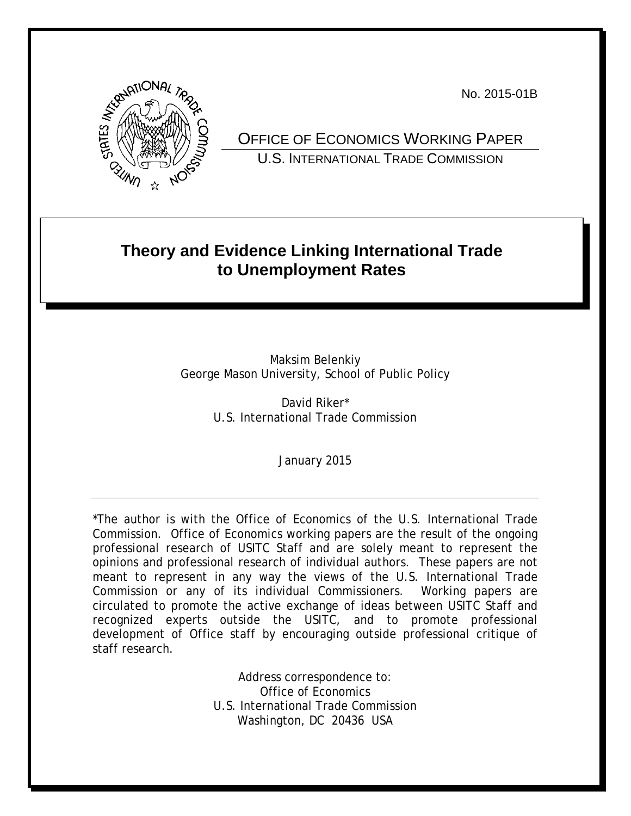No. 2015-01B



OFFICE OF ECONOMICS WORKING PAPER U.S. INTERNATIONAL TRADE COMMISSION

## **Theory and Evidence Linking International Trade to Unemployment Rates**

Maksim Belenkiy George Mason University, School of Public Policy

> David Riker\* U.S. International Trade Commission

> > January 2015

\*The author is with the Office of Economics of the U.S. International Trade Commission. Office of Economics working papers are the result of the ongoing professional research of USITC Staff and are solely meant to represent the opinions and professional research of individual authors. These papers are not meant to represent in any way the views of the U.S. International Trade Commission or any of its individual Commissioners. Working papers are circulated to promote the active exchange of ideas between USITC Staff and recognized experts outside the USITC, and to promote professional development of Office staff by encouraging outside professional critique of staff research.

> Address correspondence to: Office of Economics U.S. International Trade Commission Washington, DC 20436 USA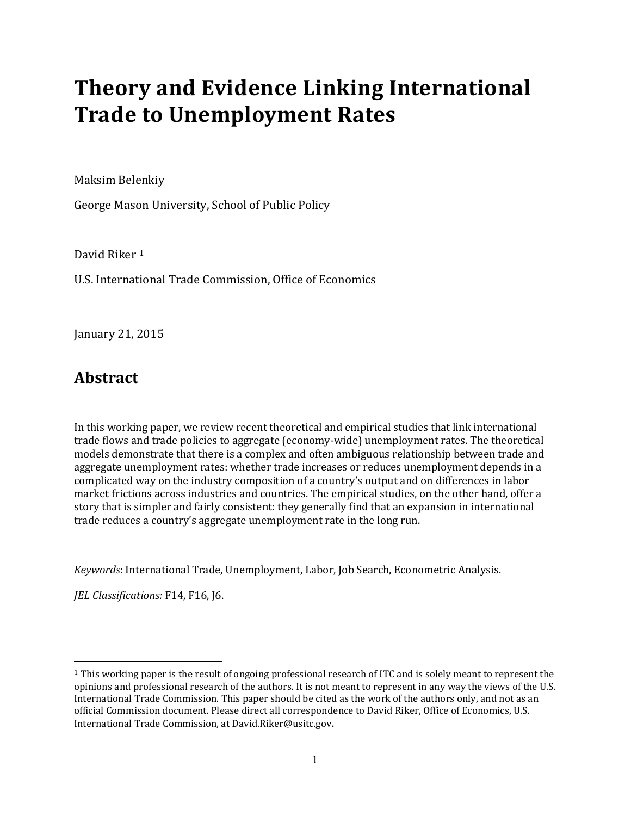# **Theory and Evidence Linking International Trade to Unemployment Rates**

Maksim Belenkiy

George Mason University, School of Public Policy

David Riker [1](#page-1-0)

U.S. International Trade Commission, Office of Economics

January 21, 2015

### **Abstract**

In this working paper, we review recent theoretical and empirical studies that link international trade flows and trade policies to aggregate (economy-wide) unemployment rates. The theoretical models demonstrate that there is a complex and often ambiguous relationship between trade and aggregate unemployment rates: whether trade increases or reduces unemployment depends in a complicated way on the industry composition of a country's output and on differences in labor market frictions across industries and countries. The empirical studies, on the other hand, offer a story that is simpler and fairly consistent: they generally find that an expansion in international trade reduces a country's aggregate unemployment rate in the long run.

*Keywords*: International Trade, Unemployment, Labor, Job Search, Econometric Analysis.

*JEL Classifications:* F14, F16, J6.

<span id="page-1-0"></span><sup>1</sup> This working paper is the result of ongoing professional research of ITC and is solely meant to represent the opinions and professional research of the authors. It is not meant to represent in any way the views of the U.S. International Trade Commission. This paper should be cited as the work of the authors only, and not as an official Commission document. Please direct all correspondence to David Riker, Office of Economics, U.S. International Trade Commission, at David.Riker@usitc.gov.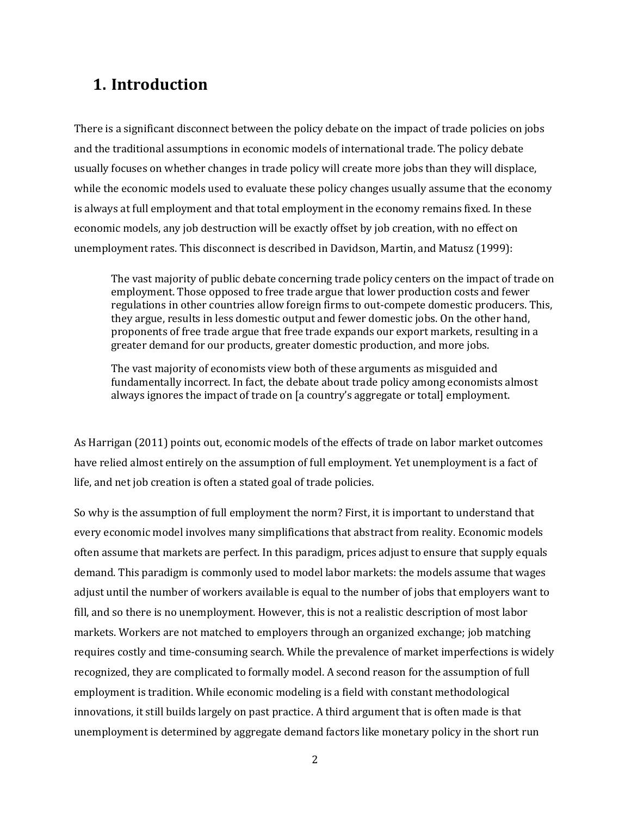## **1. Introduction**

There is a significant disconnect between the policy debate on the impact of trade policies on jobs and the traditional assumptions in economic models of international trade. The policy debate usually focuses on whether changes in trade policy will create more jobs than they will displace, while the economic models used to evaluate these policy changes usually assume that the economy is always at full employment and that total employment in the economy remains fixed. In these economic models, any job destruction will be exactly offset by job creation, with no effect on unemployment rates. This disconnect is described in Davidson, Martin, and Matusz (1999):

The vast majority of public debate concerning trade policy centers on the impact of trade on employment. Those opposed to free trade argue that lower production costs and fewer regulations in other countries allow foreign firms to out-compete domestic producers. This, they argue, results in less domestic output and fewer domestic jobs. On the other hand, proponents of free trade argue that free trade expands our export markets, resulting in a greater demand for our products, greater domestic production, and more jobs.

The vast majority of economists view both of these arguments as misguided and fundamentally incorrect. In fact, the debate about trade policy among economists almost always ignores the impact of trade on [a country's aggregate or total] employment.

As Harrigan (2011) points out, economic models of the effects of trade on labor market outcomes have relied almost entirely on the assumption of full employment. Yet unemployment is a fact of life, and net job creation is often a stated goal of trade policies.

So why is the assumption of full employment the norm? First, it is important to understand that every economic model involves many simplifications that abstract from reality. Economic models often assume that markets are perfect. In this paradigm, prices adjust to ensure that supply equals demand. This paradigm is commonly used to model labor markets: the models assume that wages adjust until the number of workers available is equal to the number of jobs that employers want to fill, and so there is no unemployment. However, this is not a realistic description of most labor markets. Workers are not matched to employers through an organized exchange; job matching requires costly and time-consuming search. While the prevalence of market imperfections is widely recognized, they are complicated to formally model. A second reason for the assumption of full employment is tradition. While economic modeling is a field with constant methodological innovations, it still builds largely on past practice. A third argument that is often made is that unemployment is determined by aggregate demand factors like monetary policy in the short run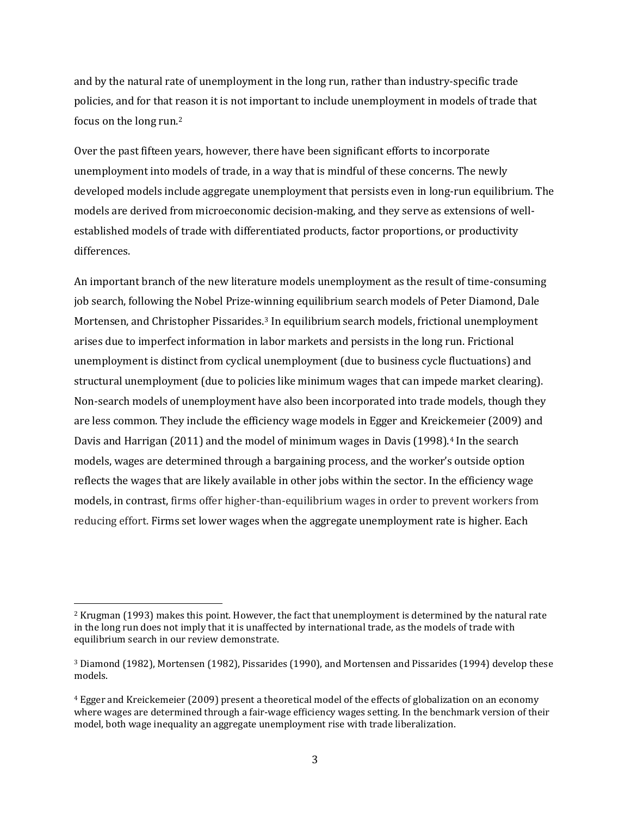and by the natural rate of unemployment in the long run, rather than industry-specific trade policies, and for that reason it is not important to include unemployment in models of trade that focus on the long run.[2](#page-3-0)

Over the past fifteen years, however, there have been significant efforts to incorporate unemployment into models of trade, in a way that is mindful of these concerns. The newly developed models include aggregate unemployment that persists even in long-run equilibrium. The models are derived from microeconomic decision-making, and they serve as extensions of wellestablished models of trade with differentiated products, factor proportions, or productivity differences.

An important branch of the new literature models unemployment as the result of time-consuming job search, following the Nobel Prize-winning equilibrium search models of Peter Diamond, Dale Mortensen, and Christopher Pissarides.[3](#page-3-1) In equilibrium search models, frictional unemployment arises due to imperfect information in labor markets and persists in the long run. Frictional unemployment is distinct from cyclical unemployment (due to business cycle fluctuations) and structural unemployment (due to policies like minimum wages that can impede market clearing). Non-search models of unemployment have also been incorporated into trade models, though they are less common. They include the efficiency wage models in Egger and Kreic[ke](#page-3-2)meier (2009) and Davis and Harrigan (2011) and the model of minimum wages in Davis (1998).<sup>4</sup> In the search models, wages are determined through a bargaining process, and the worker's outside option reflects the wages that are likely available in other jobs within the sector. In the efficiency wage models, in contrast, firms offer higher-than-equilibrium wages in order to prevent workers from reducing effort. Firms set lower wages when the aggregate unemployment rate is higher. Each

<span id="page-3-0"></span><sup>2</sup> Krugman (1993) makes this point. However, the fact that unemployment is determined by the natural rate in the long run does not imply that it is unaffected by international trade, as the models of trade with equilibrium search in our review demonstrate.

<span id="page-3-1"></span><sup>3</sup> Diamond (1982), Mortensen (1982), Pissarides (1990), and Mortensen and Pissarides (1994) develop these models.

<span id="page-3-2"></span><sup>4</sup> Egger and Kreickemeier (2009) present a theoretical model of the effects of globalization on an economy where wages are determined through a fair-wage efficiency wages setting. In the benchmark version of their model, both wage inequality an aggregate unemployment rise with trade liberalization.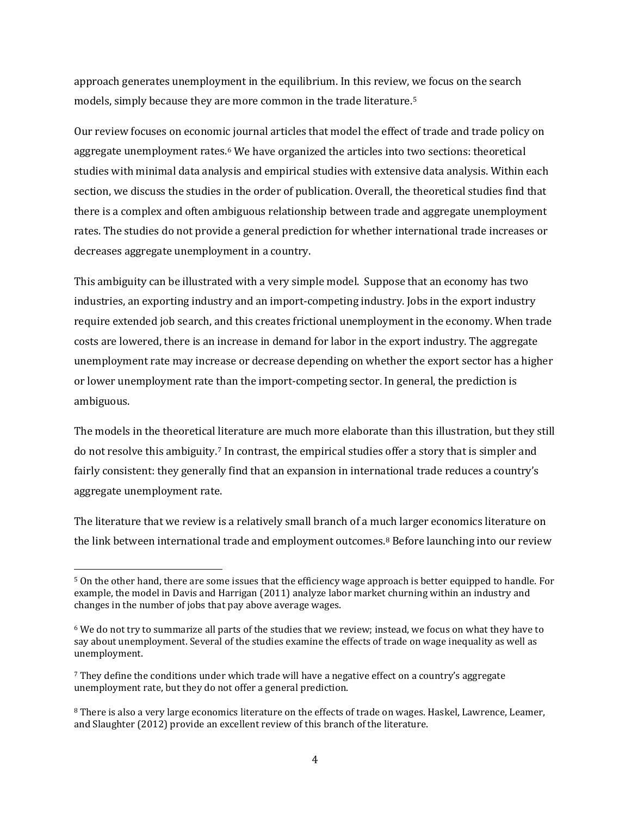approach generates unemployment in the equilibrium. In this review, we focus on the search models, simply because they are more common in the trade literature.[5](#page-4-0) 

Our review focuses on economic journal articles that model the effect of trade and trade policy on aggregate unemployment rates.<sup>[6](#page-4-1)</sup> We have organized the articles into two sections: theoretical studies with minimal data analysis and empirical studies with extensive data analysis. Within each section, we discuss the studies in the order of publication. Overall, the theoretical studies find that there is a complex and often ambiguous relationship between trade and aggregate unemployment rates. The studies do not provide a general prediction for whether international trade increases or decreases aggregate unemployment in a country.

This ambiguity can be illustrated with a very simple model. Suppose that an economy has two industries, an exporting industry and an import-competing industry. Jobs in the export industry require extended job search, and this creates frictional unemployment in the economy. When trade costs are lowered, there is an increase in demand for labor in the export industry. The aggregate unemployment rate may increase or decrease depending on whether the export sector has a higher or lower unemployment rate than the import-competing sector. In general, the prediction is ambiguous.

The models in the theoretical literature are much more elaborate than this illustration, but they still do not resolve this ambiguity[.7](#page-4-2) In contrast, the empirical studies offer a story that is simpler and fairly consistent: they generally find that an expansion in international trade reduces a country's aggregate unemployment rate.

The literature that we review is a relatively small branch of a much larger economics literature on the link between international trade and employment outcomes.<sup>[8](#page-4-3)</sup> Before launching into our review

<span id="page-4-0"></span><sup>5</sup> On the other hand, there are some issues that the efficiency wage approach is better equipped to handle. For example, the model in Davis and Harrigan (2011) analyze labor market churning within an industry and changes in the number of jobs that pay above average wages.

<span id="page-4-1"></span><sup>6</sup> We do not try to summarize all parts of the studies that we review; instead, we focus on what they have to say about unemployment. Several of the studies examine the effects of trade on wage inequality as well as unemployment.

<span id="page-4-2"></span><sup>7</sup> They define the conditions under which trade will have a negative effect on a country's aggregate unemployment rate, but they do not offer a general prediction.

<span id="page-4-3"></span><sup>8</sup> There is also a very large economics literature on the effects of trade on wages. Haskel, Lawrence, Leamer, and Slaughter (2012) provide an excellent review of this branch of the literature.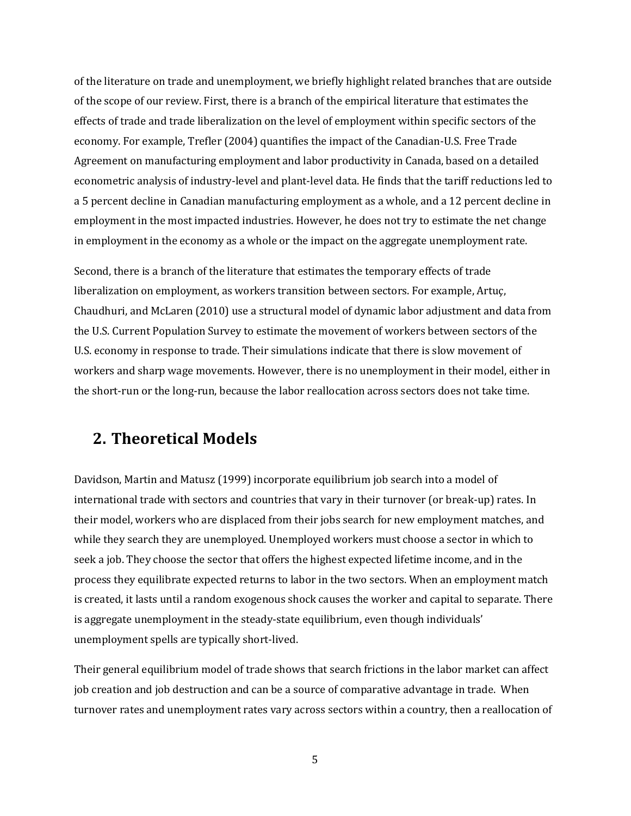of the literature on trade and unemployment, we briefly highlight related branches that are outside of the scope of our review. First, there is a branch of the empirical literature that estimates the effects of trade and trade liberalization on the level of employment within specific sectors of the economy. For example, Trefler (2004) quantifies the impact of the Canadian-U.S. Free Trade Agreement on manufacturing employment and labor productivity in Canada, based on a detailed econometric analysis of industry-level and plant-level data. He finds that the tariff reductions led to a 5 percent decline in Canadian manufacturing employment as a whole, and a 12 percent decline in employment in the most impacted industries. However, he does not try to estimate the net change in employment in the economy as a whole or the impact on the aggregate unemployment rate.

Second, there is a branch of the literature that estimates the temporary effects of trade liberalization on employment, as workers transition between sectors. For example, Artuç, Chaudhuri, and McLaren (2010) use a structural model of dynamic labor adjustment and data from the U.S. Current Population Survey to estimate the movement of workers between sectors of the U.S. economy in response to trade. Their simulations indicate that there is slow movement of workers and sharp wage movements. However, there is no unemployment in their model, either in the short-run or the long-run, because the labor reallocation across sectors does not take time.

### **2. Theoretical Models**

Davidson, Martin and Matusz (1999) incorporate equilibrium job search into a model of international trade with sectors and countries that vary in their turnover (or break-up) rates. In their model, workers who are displaced from their jobs search for new employment matches, and while they search they are unemployed. Unemployed workers must choose a sector in which to seek a job. They choose the sector that offers the highest expected lifetime income, and in the process they equilibrate expected returns to labor in the two sectors. When an employment match is created, it lasts until a random exogenous shock causes the worker and capital to separate. There is aggregate unemployment in the steady-state equilibrium, even though individuals' unemployment spells are typically short-lived.

Their general equilibrium model of trade shows that search frictions in the labor market can affect job creation and job destruction and can be a source of comparative advantage in trade. When turnover rates and unemployment rates vary across sectors within a country, then a reallocation of

5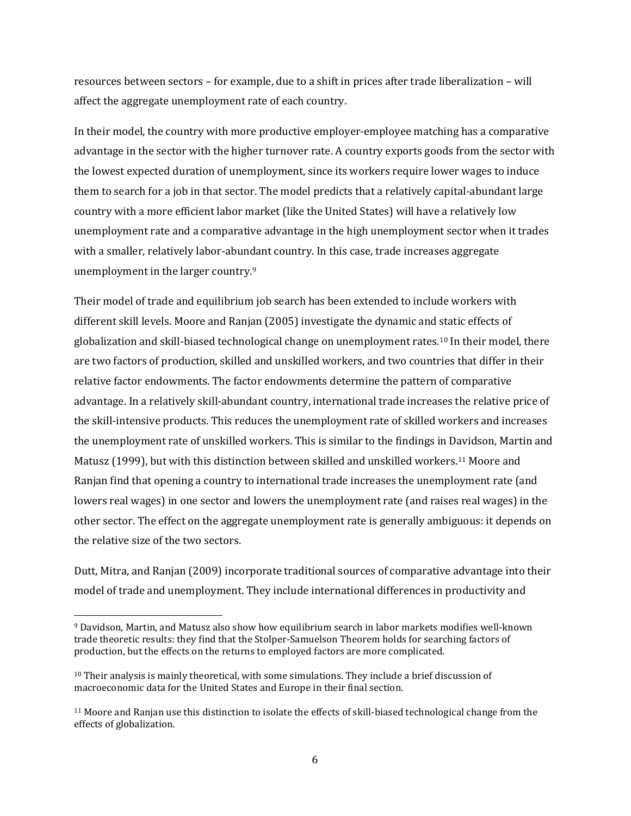resources between sectors – for example, due to a shift in prices after trade liberalization – will affect the aggregate unemployment rate of each country.

In their model, the country with more productive employer-employee matching has a comparative advantage in the sector with the higher turnover rate. A country exports goods from the sector with the lowest expected duration of unemployment, since its workers require lower wages to induce them to search for a job in that sector. The model predicts that a relatively capital-abundant large country with a more efficient labor market (like the United States) will have a relatively low unemployment rate and a comparative advantage in the high unemployment sector when it trades with a smaller, relatively labor-abundant country. In this case, trade increases aggregate unemployment in the larger country.[9](#page-6-0)

Their model of trade and equilibrium job search has been extended to include workers with different skill levels. Moore and Ranjan (2005) investigate the dynamic and static effects of globalization and skill-biased technological change on unemployment rates.[10](#page-6-1) In their model, there are two factors of production, skilled and unskilled workers, and two countries that differ in their relative factor endowments. The factor endowments determine the pattern of comparative advantage. In a relatively skill-abundant country, international trade increases the relative price of the skill-intensive products. This reduces the unemployment rate of skilled workers and increases the unemployment rate of unskilled workers. This is similar to the findings in Davidson, Martin and Matusz (1999), but with this distinction between skilled and unskilled workers.[11](#page-6-2) Moore and Ranjan find that opening a country to international trade increases the unemployment rate (and lowers real wages) in one sector and lowers the unemployment rate (and raises real wages) in the other sector. The effect on the aggregate unemployment rate is generally ambiguous: it depends on the relative size of the two sectors.

Dutt, Mitra, and Ranjan (2009) incorporate traditional sources of comparative advantage into their model of trade and unemployment. They include international differences in productivity and

<span id="page-6-0"></span><sup>9</sup> Davidson, Martin, and Matusz also show how equilibrium search in labor markets modifies well-known trade theoretic results: they find that the Stolper-Samuelson Theorem holds for searching factors of production, but the effects on the returns to employed factors are more complicated.

<span id="page-6-1"></span><sup>&</sup>lt;sup>10</sup> Their analysis is mainly theoretical, with some simulations. They include a brief discussion of macroeconomic data for the United States and Europe in their final section.

<span id="page-6-2"></span><sup>11</sup> Moore and Ranjan use this distinction to isolate the effects of skill-biased technological change from the effects of globalization.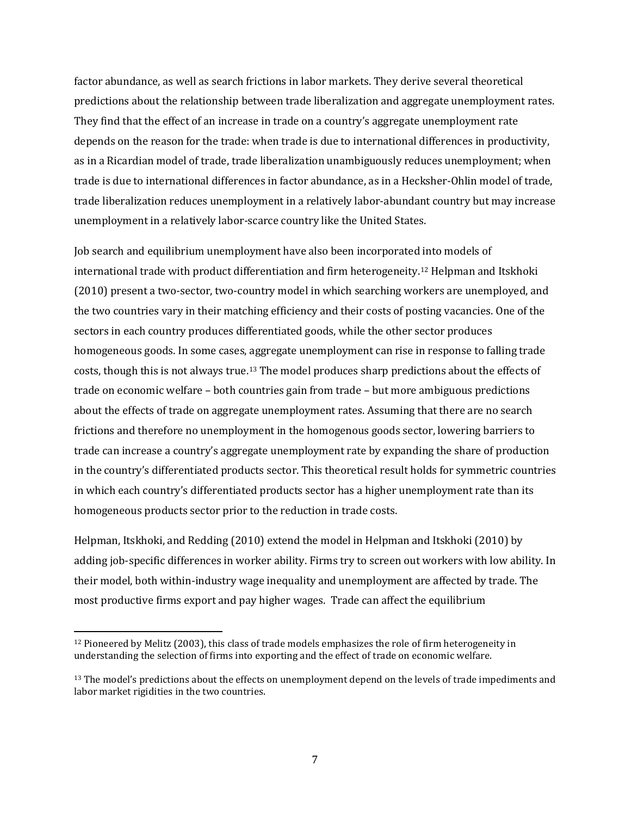factor abundance, as well as search frictions in labor markets. They derive several theoretical predictions about the relationship between trade liberalization and aggregate unemployment rates. They find that the effect of an increase in trade on a country's aggregate unemployment rate depends on the reason for the trade: when trade is due to international differences in productivity, as in a Ricardian model of trade, trade liberalization unambiguously reduces unemployment; when trade is due to international differences in factor abundance, as in a Hecksher-Ohlin model of trade, trade liberalization reduces unemployment in a relatively labor-abundant country but may increase unemployment in a relatively labor-scarce country like the United States.

Job search and equilibrium unemployment have also been incorporated into models of international trade with product differentiation and firm heterogeneity.[12](#page-7-0) Helpman and Itskhoki (2010) present a two-sector, two-country model in which searching workers are unemployed, and the two countries vary in their matching efficiency and their costs of posting vacancies. One of the sectors in each country produces differentiated goods, while the other sector produces homogeneous goods. In some cases, aggregate unemployment can rise in response to falling trade costs, though this is not always true.[13](#page-7-1) The model produces sharp predictions about the effects of trade on economic welfare – both countries gain from trade – but more ambiguous predictions about the effects of trade on aggregate unemployment rates. Assuming that there are no search frictions and therefore no unemployment in the homogenous goods sector, lowering barriers to trade can increase a country's aggregate unemployment rate by expanding the share of production in the country's differentiated products sector. This theoretical result holds for symmetric countries in which each country's differentiated products sector has a higher unemployment rate than its homogeneous products sector prior to the reduction in trade costs.

Helpman, Itskhoki, and Redding (2010) extend the model in Helpman and Itskhoki (2010) by adding job-specific differences in worker ability. Firms try to screen out workers with low ability. In their model, both within-industry wage inequality and unemployment are affected by trade. The most productive firms export and pay higher wages. Trade can affect the equilibrium

<span id="page-7-0"></span><sup>12</sup> Pioneered by Melitz (2003), this class of trade models emphasizes the role of firm heterogeneity in understanding the selection of firms into exporting and the effect of trade on economic welfare.

<span id="page-7-1"></span><sup>13</sup> The model's predictions about the effects on unemployment depend on the levels of trade impediments and labor market rigidities in the two countries.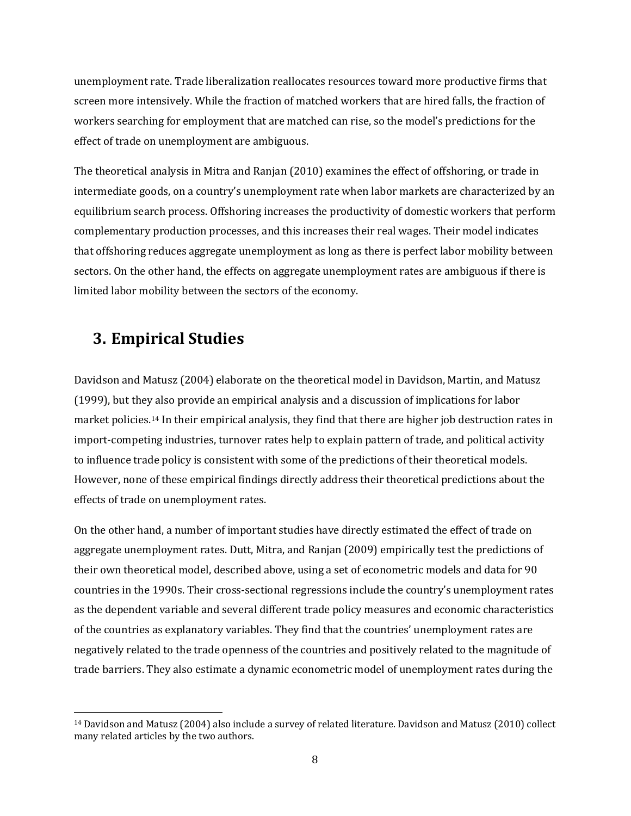unemployment rate. Trade liberalization reallocates resources toward more productive firms that screen more intensively. While the fraction of matched workers that are hired falls, the fraction of workers searching for employment that are matched can rise, so the model's predictions for the effect of trade on unemployment are ambiguous.

The theoretical analysis in Mitra and Ranjan (2010) examines the effect of offshoring, or trade in intermediate goods, on a country's unemployment rate when labor markets are characterized by an equilibrium search process. Offshoring increases the productivity of domestic workers that perform complementary production processes, and this increases their real wages. Their model indicates that offshoring reduces aggregate unemployment as long as there is perfect labor mobility between sectors. On the other hand, the effects on aggregate unemployment rates are ambiguous if there is limited labor mobility between the sectors of the economy.

#### **3. Empirical Studies**

 $\overline{a}$ 

Davidson and Matusz (2004) elaborate on the theoretical model in Davidson, Martin, and Matusz (1999), but they also provide an empirical analysis and a discussion of implications for labor market policies.[14](#page-8-0) In their empirical analysis, they find that there are higher job destruction rates in import-competing industries, turnover rates help to explain pattern of trade, and political activity to influence trade policy is consistent with some of the predictions of their theoretical models. However, none of these empirical findings directly address their theoretical predictions about the effects of trade on unemployment rates.

On the other hand, a number of important studies have directly estimated the effect of trade on aggregate unemployment rates. Dutt, Mitra, and Ranjan (2009) empirically test the predictions of their own theoretical model, described above, using a set of econometric models and data for 90 countries in the 1990s. Their cross-sectional regressions include the country's unemployment rates as the dependent variable and several different trade policy measures and economic characteristics of the countries as explanatory variables. They find that the countries' unemployment rates are negatively related to the trade openness of the countries and positively related to the magnitude of trade barriers. They also estimate a dynamic econometric model of unemployment rates during the

<span id="page-8-0"></span><sup>14</sup> Davidson and Matusz (2004) also include a survey of related literature. Davidson and Matusz (2010) collect many related articles by the two authors.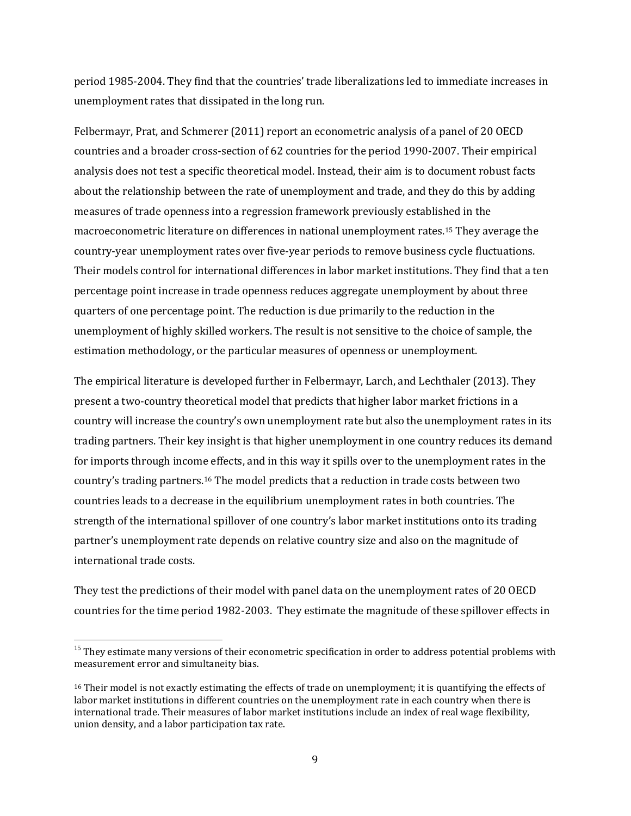period 1985-2004. They find that the countries' trade liberalizations led to immediate increases in unemployment rates that dissipated in the long run.

Felbermayr, Prat, and Schmerer (2011) report an econometric analysis of a panel of 20 OECD countries and a broader cross-section of 62 countries for the period 1990-2007. Their empirical analysis does not test a specific theoretical model. Instead, their aim is to document robust facts about the relationship between the rate of unemployment and trade, and they do this by adding measures of trade openness into a regression framework previously established in the macroeconometric literature on differences in national unemployment rates.[15](#page-9-0) They average the country-year unemployment rates over five-year periods to remove business cycle fluctuations. Their models control for international differences in labor market institutions. They find that a ten percentage point increase in trade openness reduces aggregate unemployment by about three quarters of one percentage point. The reduction is due primarily to the reduction in the unemployment of highly skilled workers. The result is not sensitive to the choice of sample, the estimation methodology, or the particular measures of openness or unemployment.

The empirical literature is developed further in Felbermayr, Larch, and Lechthaler (2013). They present a two-country theoretical model that predicts that higher labor market frictions in a country will increase the country's own unemployment rate but also the unemployment rates in its trading partners. Their key insight is that higher unemployment in one country reduces its demand for imports through income effects, and in this way it spills over to the unemployment rates in the country's trading partners.[16](#page-9-1) The model predicts that a reduction in trade costs between two countries leads to a decrease in the equilibrium unemployment rates in both countries. The strength of the international spillover of one country's labor market institutions onto its trading partner's unemployment rate depends on relative country size and also on the magnitude of international trade costs.

They test the predictions of their model with panel data on the unemployment rates of 20 OECD countries for the time period 1982-2003. They estimate the magnitude of these spillover effects in

<span id="page-9-0"></span><sup>&</sup>lt;sup>15</sup> They estimate many versions of their econometric specification in order to address potential problems with measurement error and simultaneity bias.

<span id="page-9-1"></span><sup>16</sup> Their model is not exactly estimating the effects of trade on unemployment; it is quantifying the effects of labor market institutions in different countries on the unemployment rate in each country when there is international trade. Their measures of labor market institutions include an index of real wage flexibility, union density, and a labor participation tax rate.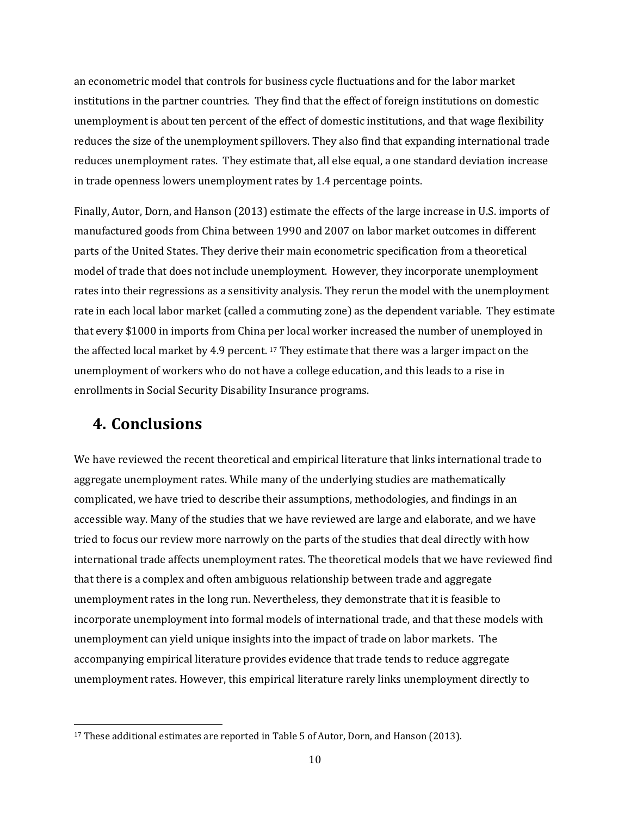an econometric model that controls for business cycle fluctuations and for the labor market institutions in the partner countries. They find that the effect of foreign institutions on domestic unemployment is about ten percent of the effect of domestic institutions, and that wage flexibility reduces the size of the unemployment spillovers. They also find that expanding international trade reduces unemployment rates. They estimate that, all else equal, a one standard deviation increase in trade openness lowers unemployment rates by 1.4 percentage points.

Finally, Autor, Dorn, and Hanson (2013) estimate the effects of the large increase in U.S. imports of manufactured goods from China between 1990 and 2007 on labor market outcomes in different parts of the United States. They derive their main econometric specification from a theoretical model of trade that does not include unemployment. However, they incorporate unemployment rates into their regressions as a sensitivity analysis. They rerun the model with the unemployment rate in each local labor market (called a commuting zone) as the dependent variable. They estimate that every \$1000 in imports from China [pe](#page-10-0)r local worker increased the number of unemployed in the affected local market by 4.9 percent. <sup>17</sup> They estimate that there was a larger impact on the unemployment of workers who do not have a college education, and this leads to a rise in enrollments in Social Security Disability Insurance programs.

### **4. Conclusions**

 $\overline{a}$ 

We have reviewed the recent theoretical and empirical literature that links international trade to aggregate unemployment rates. While many of the underlying studies are mathematically complicated, we have tried to describe their assumptions, methodologies, and findings in an accessible way. Many of the studies that we have reviewed are large and elaborate, and we have tried to focus our review more narrowly on the parts of the studies that deal directly with how international trade affects unemployment rates. The theoretical models that we have reviewed find that there is a complex and often ambiguous relationship between trade and aggregate unemployment rates in the long run. Nevertheless, they demonstrate that it is feasible to incorporate unemployment into formal models of international trade, and that these models with unemployment can yield unique insights into the impact of trade on labor markets. The accompanying empirical literature provides evidence that trade tends to reduce aggregate unemployment rates. However, this empirical literature rarely links unemployment directly to

<span id="page-10-0"></span><sup>&</sup>lt;sup>17</sup> These additional estimates are reported in Table 5 of Autor, Dorn, and Hanson (2013).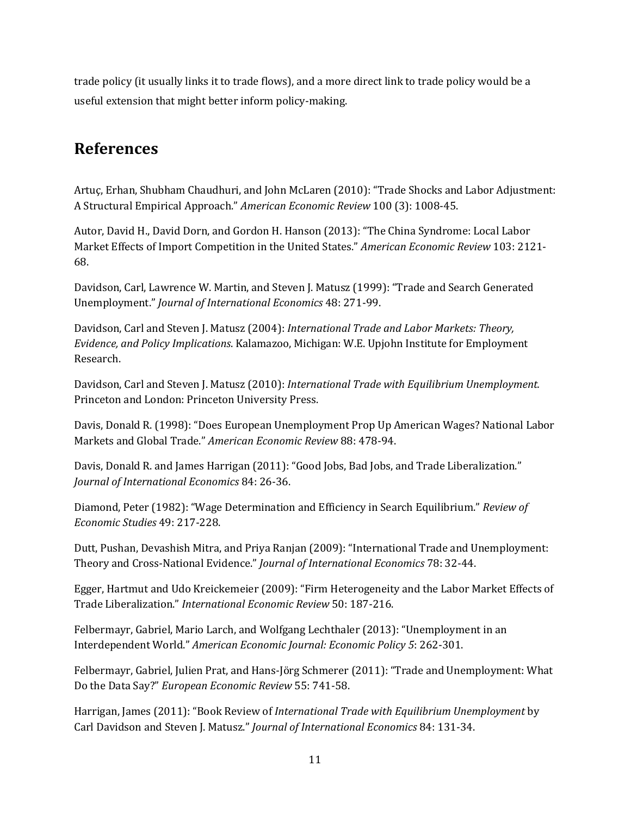trade policy (it usually links it to trade flows), and a more direct link to trade policy would be a useful extension that might better inform policy-making.

## **References**

Artuç, Erhan, Shubham Chaudhuri, and John McLaren (2010): "Trade Shocks and Labor Adjustment: A Structural Empirical Approach." *American Economic Review* 100 (3): 1008-45.

Autor, David H., David Dorn, and Gordon H. Hanson (2013): "The China Syndrome: Local Labor Market Effects of Import Competition in the United States." *American Economic Review* 103: 2121- 68.

Davidson, Carl, Lawrence W. Martin, and Steven J. Matusz (1999): "Trade and Search Generated Unemployment." *Journal of International Economics* 48: 271-99.

Davidson, Carl and Steven J. Matusz (2004): *International Trade and Labor Markets: Theory, Evidence, and Policy Implications*. Kalamazoo, Michigan: W.E. Upjohn Institute for Employment Research.

Davidson, Carl and Steven J. Matusz (2010): *International Trade with Equilibrium Unemployment.* Princeton and London: Princeton University Press.

Davis, Donald R. (1998): "Does European Unemployment Prop Up American Wages? National Labor Markets and Global Trade." *American Economic Review* 88: 478-94.

Davis, Donald R. and James Harrigan (2011): "Good Jobs, Bad Jobs, and Trade Liberalization." *Journal of International Economics* 84: 26-36.

Diamond, Peter (1982): "Wage Determination and Efficiency in Search Equilibrium." *Review of Economic Studies* 49: 217-228.

Dutt, Pushan, Devashish Mitra, and Priya Ranjan (2009): "International Trade and Unemployment: Theory and Cross-National Evidence." *Journal of International Economics* 78: 32-44.

Egger, Hartmut and Udo Kreickemeier (2009): "Firm Heterogeneity and the Labor Market Effects of Trade Liberalization." *International Economic Review* 50: 187-216.

Felbermayr, Gabriel, Mario Larch, and Wolfgang Lechthaler (2013): "Unemployment in an Interdependent World." *American Economic Journal: Economic Policy 5*: 262-301.

Felbermayr, Gabriel, Julien Prat, and Hans-Jörg Schmerer (2011): "Trade and Unemployment: What Do the Data Say?" *European Economic Review* 55: 741-58.

Harrigan, James (2011): "Book Review of *International Trade with Equilibrium Unemployment* by Carl Davidson and Steven J. Matusz." *Journal of International Economics* 84: 131-34.